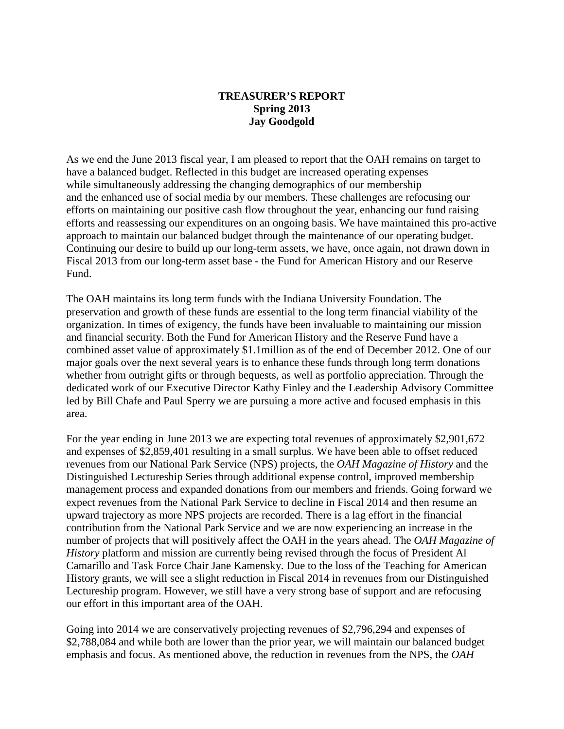## **TREASURER'S REPORT Spring 2013 Jay Goodgold**

As we end the June 2013 fiscal year, I am pleased to report that the OAH remains on target to have a balanced budget. Reflected in this budget are increased operating expenses while simultaneously addressing the changing demographics of our membership and the enhanced use of social media by our members. These challenges are refocusing our efforts on maintaining our positive cash flow throughout the year, enhancing our fund raising efforts and reassessing our expenditures on an ongoing basis. We have maintained this pro-active approach to maintain our balanced budget through the maintenance of our operating budget. Continuing our desire to build up our long-term assets, we have, once again, not drawn down in Fiscal 2013 from our long-term asset base - the Fund for American History and our Reserve Fund.

The OAH maintains its long term funds with the Indiana University Foundation. The preservation and growth of these funds are essential to the long term financial viability of the organization. In times of exigency, the funds have been invaluable to maintaining our mission and financial security. Both the Fund for American History and the Reserve Fund have a combined asset value of approximately \$1.1million as of the end of December 2012. One of our major goals over the next several years is to enhance these funds through long term donations whether from outright gifts or through bequests, as well as portfolio appreciation. Through the dedicated work of our Executive Director Kathy Finley and the Leadership Advisory Committee led by Bill Chafe and Paul Sperry we are pursuing a more active and focused emphasis in this area.

For the year ending in June 2013 we are expecting total revenues of approximately \$2,901,672 and expenses of \$2,859,401 resulting in a small surplus. We have been able to offset reduced revenues from our National Park Service (NPS) projects, the *OAH Magazine of History* and the Distinguished Lectureship Series through additional expense control, improved membership management process and expanded donations from our members and friends. Going forward we expect revenues from the National Park Service to decline in Fiscal 2014 and then resume an upward trajectory as more NPS projects are recorded. There is a lag effort in the financial contribution from the National Park Service and we are now experiencing an increase in the number of projects that will positively affect the OAH in the years ahead. The *OAH Magazine of History* platform and mission are currently being revised through the focus of President Al Camarillo and Task Force Chair Jane Kamensky. Due to the loss of the Teaching for American History grants, we will see a slight reduction in Fiscal 2014 in revenues from our Distinguished Lectureship program. However, we still have a very strong base of support and are refocusing our effort in this important area of the OAH.

Going into 2014 we are conservatively projecting revenues of \$2,796,294 and expenses of \$2,788,084 and while both are lower than the prior year, we will maintain our balanced budget emphasis and focus. As mentioned above, the reduction in revenues from the NPS, the *OAH*